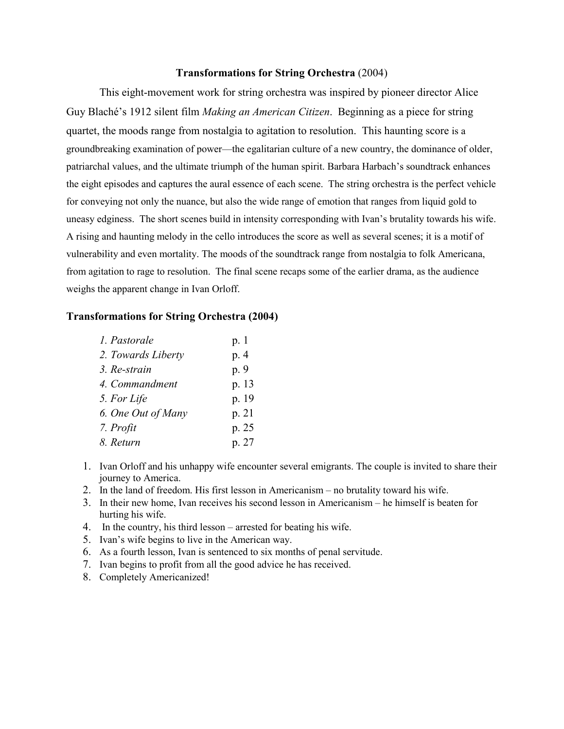## **Transformations for String Orchestra** (2004)

This eight-movement work for string orchestra was inspired by pioneer director Alice Guy Blaché's 1912 silent film *Making an American Citizen*. Beginning as a piece for string quartet, the moods range from nostalgia to agitation to resolution. This haunting score is a groundbreaking examination of power—the egalitarian culture of a new country, the dominance of older, patriarchal values, and the ultimate triumph of the human spirit. Barbara Harbach's soundtrack enhances the eight episodes and captures the aural essence of each scene. The string orchestra is the perfect vehicle for conveying not only the nuance, but also the wide range of emotion that ranges from liquid gold to uneasy edginess. The short scenes build in intensity corresponding with Ivan's brutality towards his wife. A rising and haunting melody in the cello introduces the score as well as several scenes; it is a motif of vulnerability and even mortality. The moods of the soundtrack range from nostalgia to folk Americana, from agitation to rage to resolution. The final scene recaps some of the earlier drama, as the audience weighs the apparent change in Ivan Orloff.

## **Transformations for String Orchestra (2004)**

| 1. Pastorale       | p. 1  |
|--------------------|-------|
| 2. Towards Liberty | p. 4  |
| 3. Re-strain       | p. 9  |
| 4. Commandment     | p. 13 |
| 5. For Life        | p. 19 |
| 6. One Out of Many | p. 21 |
| 7. Profit          | p. 25 |
| 8. Return          | p. 27 |
|                    |       |

- 1. Ivan Orloff and his unhappy wife encounter several emigrants. The couple is invited to share their journey to America.
- 2. In the land of freedom. His first lesson in Americanism no brutality toward his wife.
- 3. In their new home, Ivan receives his second lesson in Americanism he himself is beaten for hurting his wife.
- 4. In the country, his third lesson arrested for beating his wife.
- 5. Ivan's wife begins to live in the American way.
- 6. As a fourth lesson, Ivan is sentenced to six months of penal servitude.
- 7. Ivan begins to profit from all the good advice he has received.
- 8. Completely Americanized!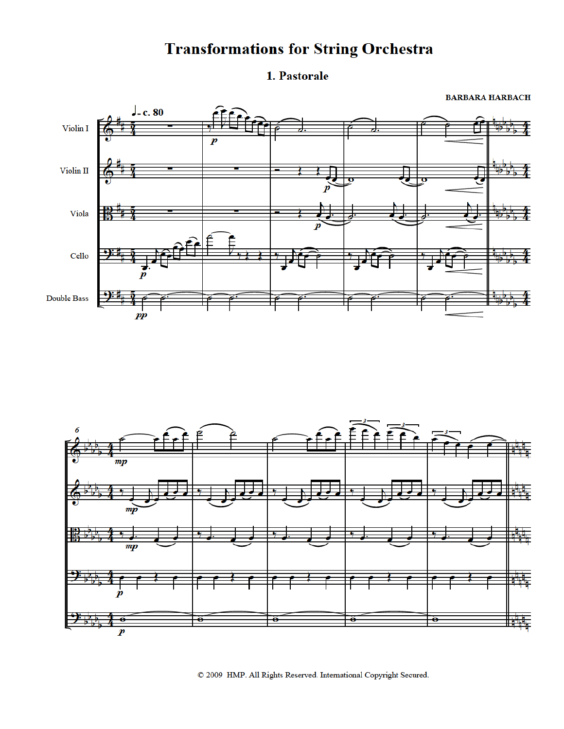## **Transformations for String Orchestra**

## 1. Pastorale

**BARBARA HARBACH** 





© 2009 HMP. All Rights Reserved. International Copyright Secured.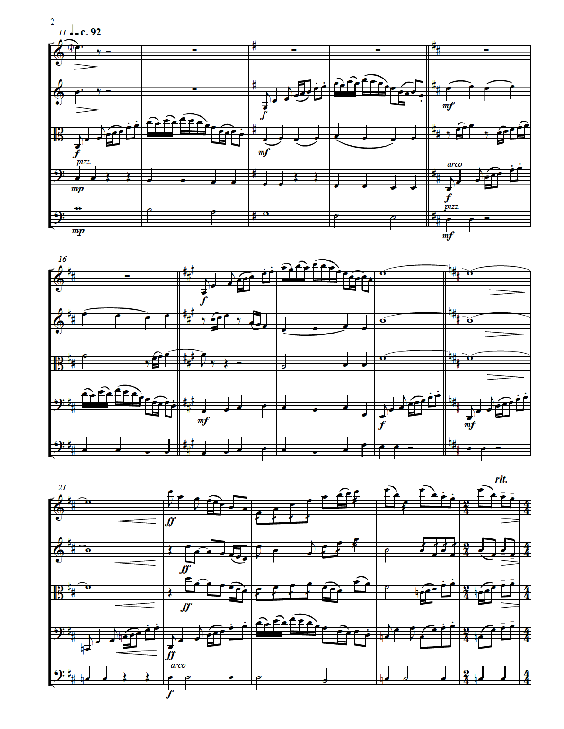



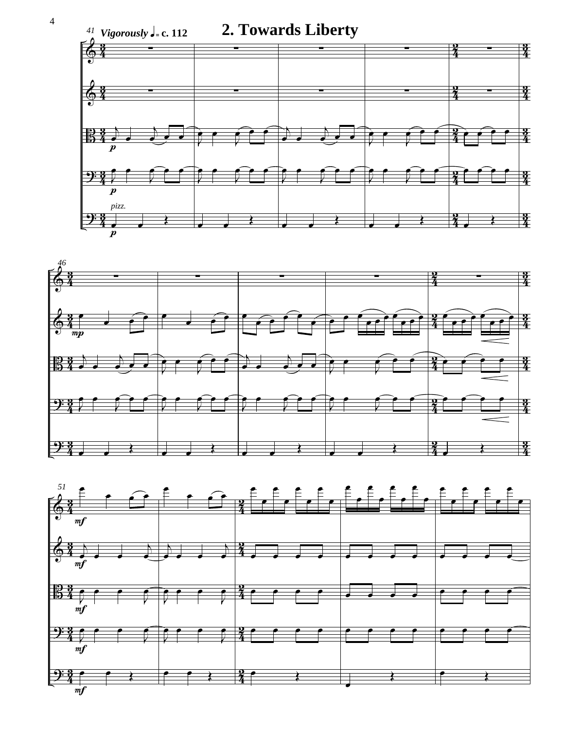



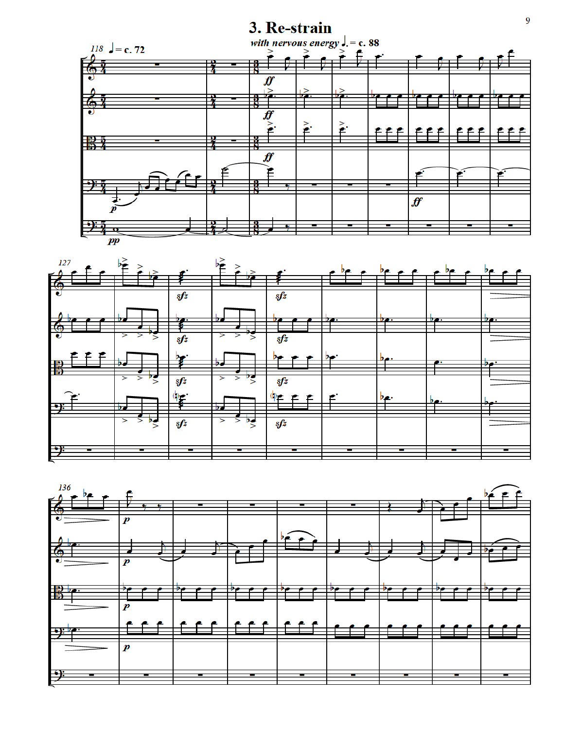



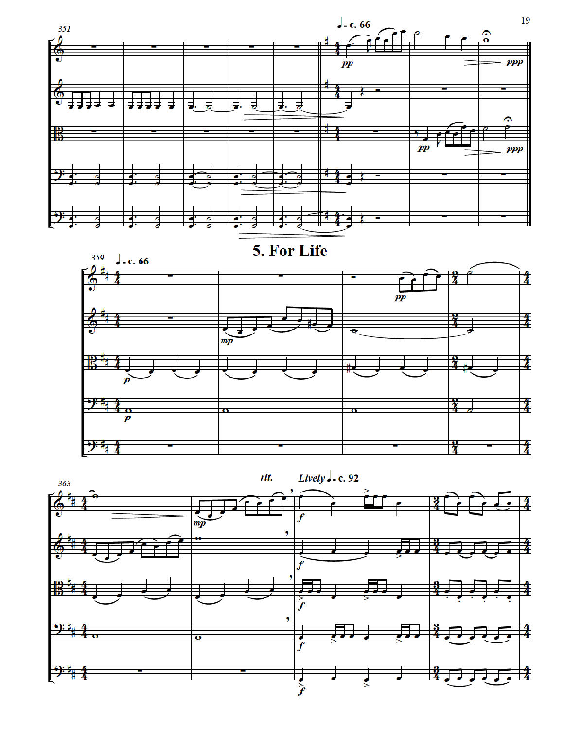

5. For Life



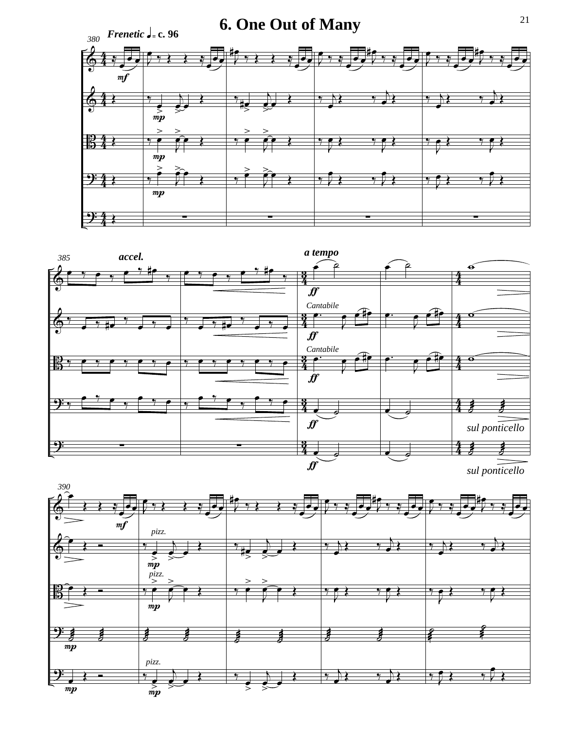